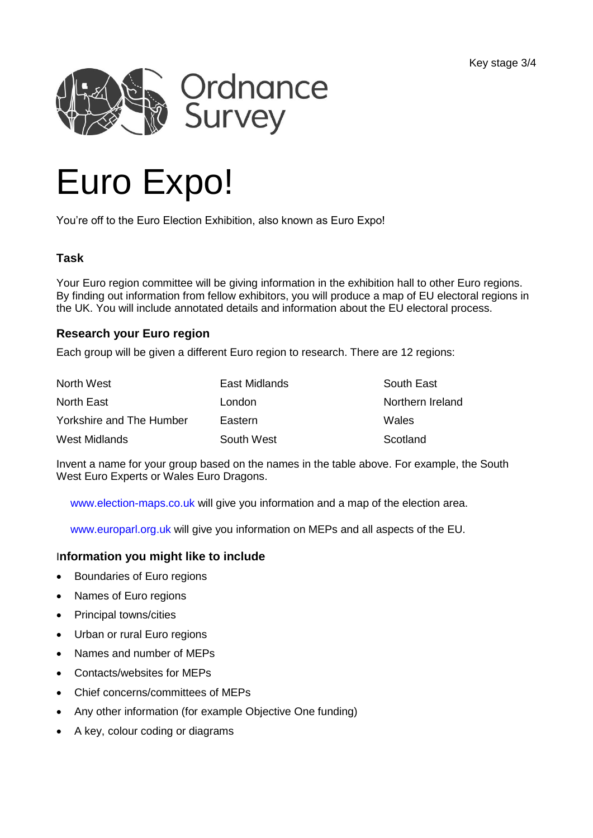

# Euro Expo!

You're off to the Euro Election Exhibition, also known as Euro Expo!

# **Task**

Your Euro region committee will be giving information in the exhibition hall to other Euro regions. By finding out information from fellow exhibitors, you will produce a map of EU electoral regions in the UK. You will include annotated details and information about the EU electoral process.

# **Research your Euro region**

Each group will be given a different Euro region to research. There are 12 regions:

| North West               | East Midlands | South East       |
|--------------------------|---------------|------------------|
| <b>North East</b>        | London        | Northern Ireland |
| Yorkshire and The Humber | Eastern       | Wales            |
| West Midlands            | South West    | Scotland         |

Invent a name for your group based on the names in the table above. For example, the South West Euro Experts or Wales Euro Dragons.

[www.election-maps.co.uk](http://www.election-maps.co.uk/) will give you information and a map of the election area.

[www.europarl.org.uk](http://www.europarl.org.uk/) will give you information on MEPs and all aspects of the EU.

# I**nformation you might like to include**

- Boundaries of Euro regions
- Names of Euro regions
- Principal towns/cities
- Urban or rural Euro regions
- Names and number of MEPs
- Contacts/websites for MEPs
- Chief concerns/committees of MEPs
- Any other information (for example Objective One funding)
- A key, colour coding or diagrams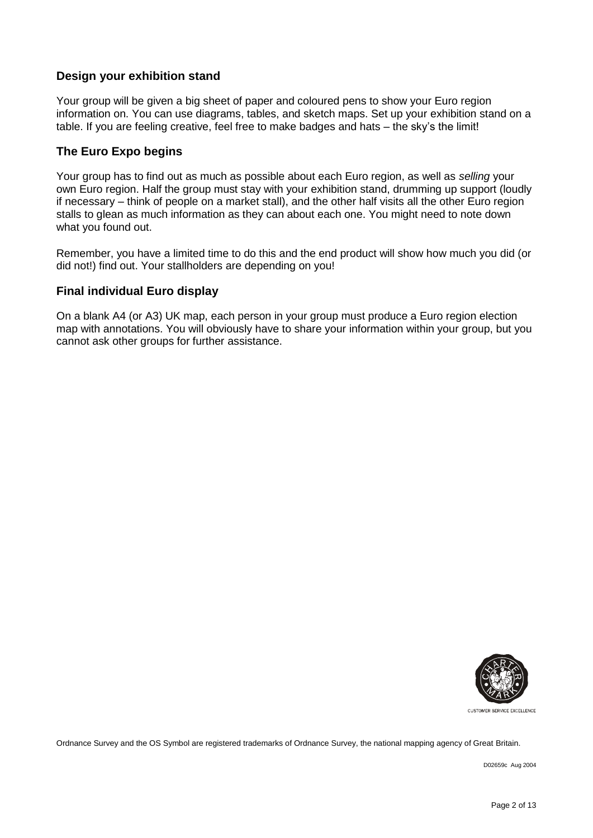# **Design your exhibition stand**

Your group will be given a big sheet of paper and coloured pens to show your Euro region information on. You can use diagrams, tables, and sketch maps. Set up your exhibition stand on a table. If you are feeling creative, feel free to make badges and hats – the sky's the limit!

## **The Euro Expo begins**

Your group has to find out as much as possible about each Euro region, as well as *selling* your own Euro region. Half the group must stay with your exhibition stand, drumming up support (loudly if necessary – think of people on a market stall), and the other half visits all the other Euro region stalls to glean as much information as they can about each one. You might need to note down what you found out.

Remember, you have a limited time to do this and the end product will show how much you did (or did not!) find out. Your stallholders are depending on you!

## **Final individual Euro display**

On a blank A4 (or A3) UK map, each person in your group must produce a Euro region election map with annotations. You will obviously have to share your information within your group, but you cannot ask other groups for further assistance.



CUSTOMER SERVICE EXCELLENCE

Ordnance Survey and the OS Symbol are registered trademarks of Ordnance Survey, the national mapping agency of Great Britain.

D02659c Aug 2004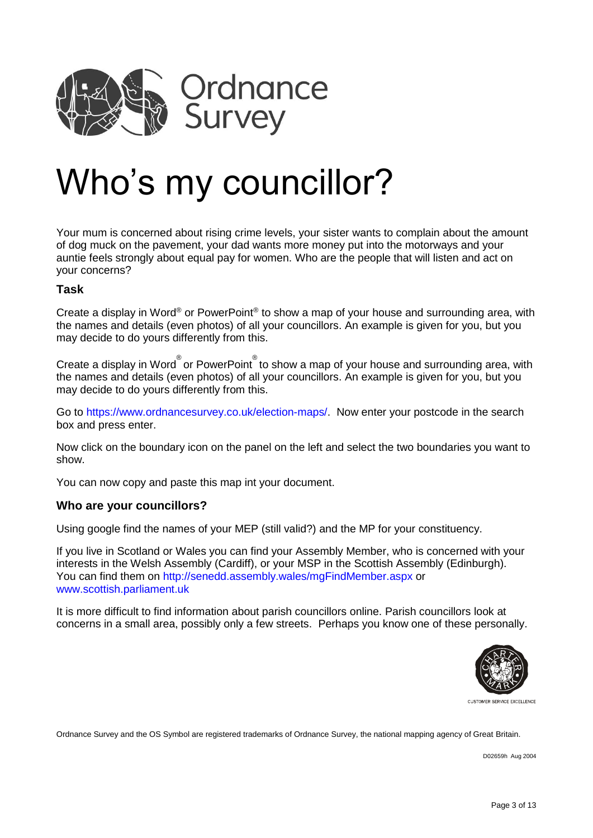

# Who's my councillor?

Your mum is concerned about rising crime levels, your sister wants to complain about the amount of dog muck on the pavement, your dad wants more money put into the motorways and your auntie feels strongly about equal pay for women. Who are the people that will listen and act on your concerns?

### **Task**

Create a display in Word® or PowerPoint® to show a map of your house and surrounding area, with the names and details (even photos) of all your councillors. An example is given for you, but you may decide to do yours differently from this.

Create a display in Word $^\circ$ or PowerPoint $^\circ$  to show a map of your house and surrounding area, with the names and details (even photos) of all your councillors. An example is given for you, but you may decide to do yours differently from this.

Go to [https://www.ordnancesurvey.co.uk/election-maps/.](https://www.ordnancesurvey.co.uk/election-maps/) Now enter your postcode in the search box and press enter.

Now click on the boundary icon on the panel on the left and select the two boundaries you want to show.

You can now copy and paste this map int your document.

### **Who are your councillors?**

Using google find the names of your MEP (still valid?) and the MP for your constituency.

If you live in Scotland or Wales you can find your Assembly Member, who is concerned with your interests in the Welsh Assembly (Cardiff), or your MSP in the Scottish Assembly (Edinburgh). You can find them on<http://senedd.assembly.wales/mgFindMember.aspx> or [www.scottish.parliament.uk](http://www.scottish.parliament.uk/)

It is more difficult to find information about parish councillors online. Parish councillors look at concerns in a small area, possibly only a few streets. Perhaps you know one of these personally.



Ordnance Survey and the OS Symbol are registered trademarks of Ordnance Survey, the national mapping agency of Great Britain.

D02659h Aug 2004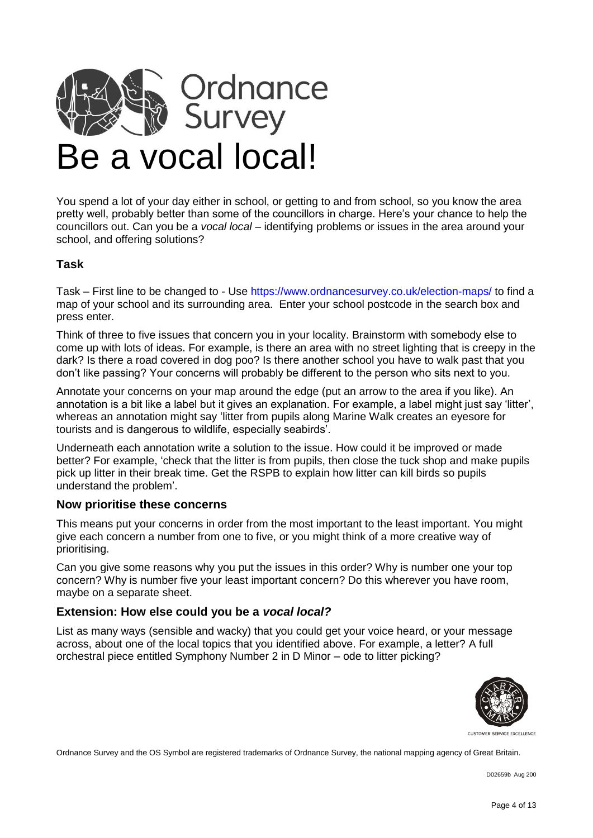

You spend a lot of your day either in school, or getting to and from school, so you know the area pretty well, probably better than some of the councillors in charge. Here's your chance to help the councillors out. Can you be a *vocal local* – identifying problems or issues in the area around your school, and offering solutions?

# **Task**

Task – First line to be changed to - Use<https://www.ordnancesurvey.co.uk/election-maps/> to find a map of your school and its surrounding area. Enter your school postcode in the search box and press enter.

Think of three to five issues that concern you in your locality. Brainstorm with somebody else to come up with lots of ideas. For example, is there an area with no street lighting that is creepy in the dark? Is there a road covered in dog poo? Is there another school you have to walk past that you don't like passing? Your concerns will probably be different to the person who sits next to you.

Annotate your concerns on your map around the edge (put an arrow to the area if you like). An annotation is a bit like a label but it gives an explanation. For example, a label might just say 'litter', whereas an annotation might say 'litter from pupils along Marine Walk creates an eyesore for tourists and is dangerous to wildlife, especially seabirds'.

Underneath each annotation write a solution to the issue. How could it be improved or made better? For example, 'check that the litter is from pupils, then close the tuck shop and make pupils pick up litter in their break time. Get the RSPB to explain how litter can kill birds so pupils understand the problem'.

### **Now prioritise these concerns**

This means put your concerns in order from the most important to the least important. You might give each concern a number from one to five, or you might think of a more creative way of prioritising.

Can you give some reasons why you put the issues in this order? Why is number one your top concern? Why is number five your least important concern? Do this wherever you have room, maybe on a separate sheet.

### **Extension: How else could you be a** *vocal local?*

List as many ways (sensible and wacky) that you could get your voice heard, or your message across, about one of the local topics that you identified above. For example, a letter? A full orchestral piece entitled Symphony Number 2 in D Minor – ode to litter picking?



CUSTOMER SERVICE EXCELLENCE

Ordnance Survey and the OS Symbol are registered trademarks of Ordnance Survey, the national mapping agency of Great Britain.

D02659b Aug 200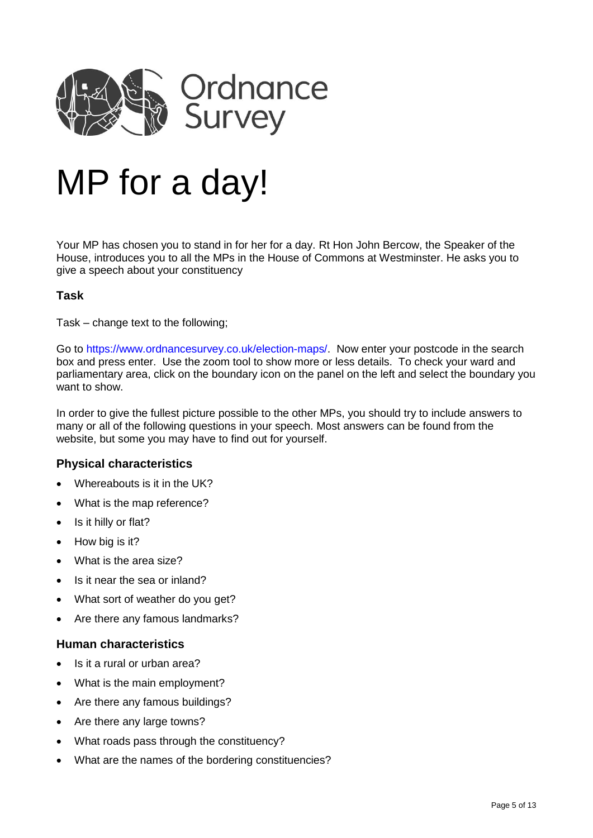

# MP for a day!

Your MP has chosen you to stand in for her for a day. Rt Hon John Bercow, the Speaker of the House, introduces you to all the MPs in the House of Commons at Westminster. He asks you to give a speech about your constituency

## **Task**

Task – change text to the following;

Go to [https://www.ordnancesurvey.co.uk/election-maps/.](https://www.ordnancesurvey.co.uk/election-maps/) Now enter your postcode in the search box and press enter. Use the zoom tool to show more or less details. To check your ward and parliamentary area, click on the boundary icon on the panel on the left and select the boundary you want to show.

In order to give the fullest picture possible to the other MPs, you should try to include answers to many or all of the following questions in your speech. Most answers can be found from the website, but some you may have to find out for yourself.

### **Physical characteristics**

- Whereabouts is it in the UK?
- What is the map reference?
- Is it hilly or flat?
- How big is it?
- What is the area size?
- Is it near the sea or inland?
- What sort of weather do you get?
- Are there any famous landmarks?

#### **Human characteristics**

- Is it a rural or urban area?
- What is the main employment?
- Are there any famous buildings?
- Are there any large towns?
- What roads pass through the constituency?
- What are the names of the bordering constituencies?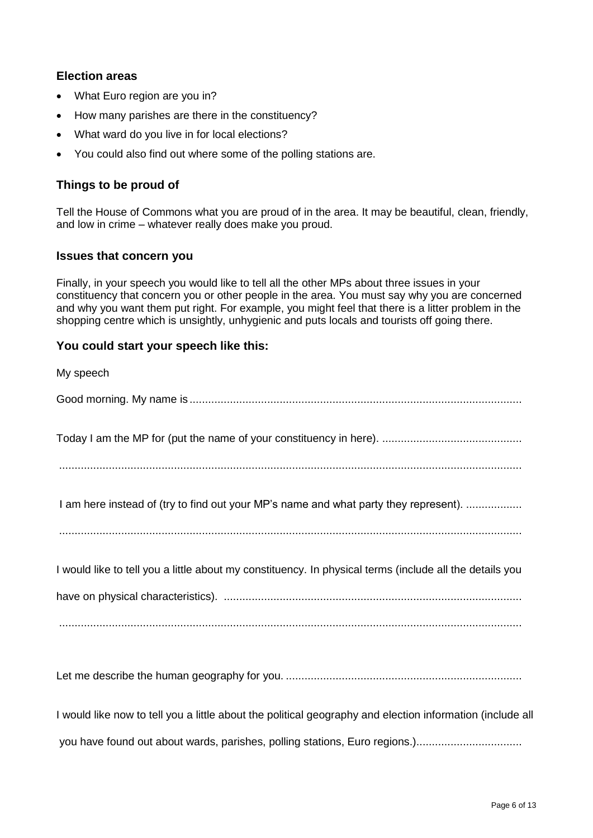# **Election areas**

- What Euro region are you in?
- How many parishes are there in the constituency?
- What ward do you live in for local elections?
- You could also find out where some of the polling stations are.

# **Things to be proud of**

Tell the House of Commons what you are proud of in the area. It may be beautiful, clean, friendly, and low in crime – whatever really does make you proud.

## **Issues that concern you**

Finally, in your speech you would like to tell all the other MPs about three issues in your constituency that concern you or other people in the area. You must say why you are concerned and why you want them put right. For example, you might feel that there is a litter problem in the shopping centre which is unsightly, unhygienic and puts locals and tourists off going there.

## **You could start your speech like this:**

| My speech                                                                                               |
|---------------------------------------------------------------------------------------------------------|
|                                                                                                         |
|                                                                                                         |
| I am here instead of (try to find out your MP's name and what party they represent).                    |
| I would like to tell you a little about my constituency. In physical terms (include all the details you |
|                                                                                                         |

Let me describe the human geography for you. ............................................................................

I would like now to tell you a little about the political geography and election information (include all you have found out about wards, parishes, polling stations, Euro regions.)..................................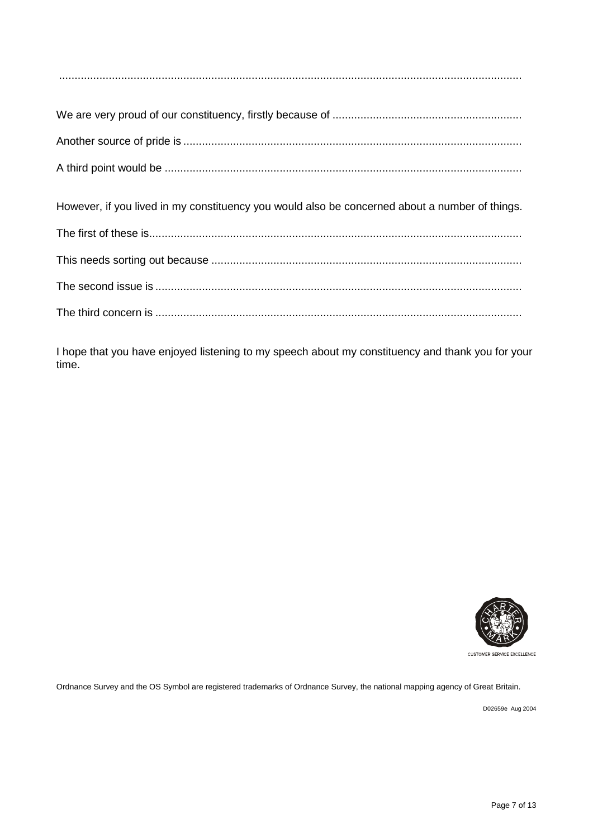We are very proud of our constituency, firstly because of ............................................................. Another source of pride is ............................................................................................................. A third point would be ................................................................................................................... However, if you lived in my constituency you would also be concerned about a number of things. The first of these is........................................................................................................................ This needs sorting out because .................................................................................................... The second issue is ...................................................................................................................... The third concern is ......................................................................................................................

I hope that you have enjoyed listening to my speech about my constituency and thank you for your time.



Ordnance Survey and the OS Symbol are registered trademarks of Ordnance Survey, the national mapping agency of Great Britain.

D02659e Aug 2004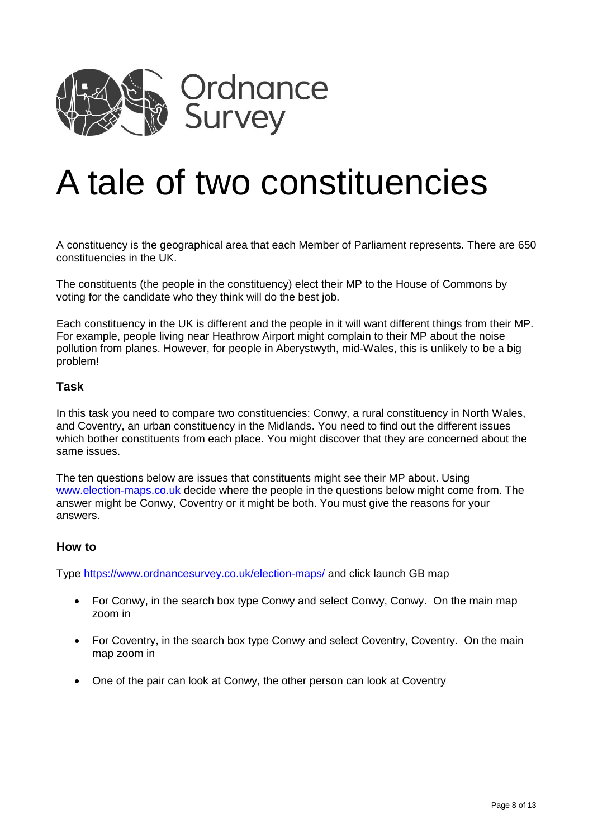

# A tale of two constituencies

A constituency is the geographical area that each Member of Parliament represents. There are 650 constituencies in the UK.

The constituents (the people in the constituency) elect their MP to the House of Commons by voting for the candidate who they think will do the best job.

Each constituency in the UK is different and the people in it will want different things from their MP. For example, people living near Heathrow Airport might complain to their MP about the noise pollution from planes. However, for people in Aberystwyth, mid-Wales, this is unlikely to be a big problem!

### **Task**

In this task you need to compare two constituencies: Conwy, a rural constituency in North Wales, and Coventry, an urban constituency in the Midlands. You need to find out the different issues which bother constituents from each place. You might discover that they are concerned about the same issues.

The ten questions below are issues that constituents might see their MP about. Using [www.election-maps.co.uk](http://www.election-maps.co.uk/) decide where the people in the questions below might come from. The answer might be Conwy, Coventry or it might be both. You must give the reasons for your answers.

### **How to**

Type<https://www.ordnancesurvey.co.uk/election-maps/> and click launch GB map

- For Conwy, in the search box type Conwy and select Conwy, Conwy. On the main map zoom in
- For Coventry, in the search box type Conwy and select Coventry, Coventry. On the main map zoom in
- One of the pair can look at Conwy, the other person can look at Coventry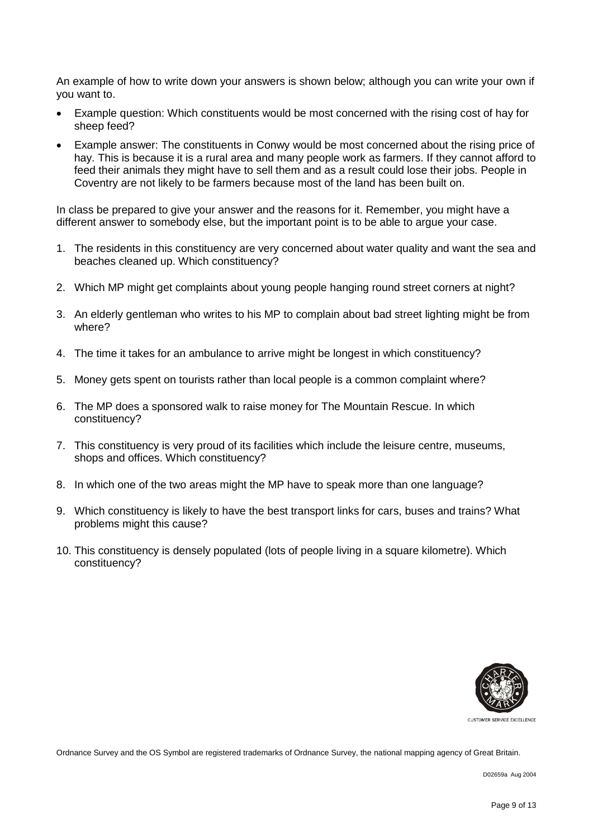An example of how to write down your answers is shown below; although you can write your own if you want to.

- Example question: Which constituents would be most concerned with the rising cost of hay for sheep feed?
- Example answer: The constituents in Conwy would be most concerned about the rising price of hay. This is because it is a rural area and many people work as farmers. If they cannot afford to feed their animals they might have to sell them and as a result could lose their jobs. People in Coventry are not likely to be farmers because most of the land has been built on.

In class be prepared to give your answer and the reasons for it. Remember, you might have a different answer to somebody else, but the important point is to be able to argue your case.

- 1. The residents in this constituency are very concerned about water quality and want the sea and beaches cleaned up. Which constituency?
- 2. Which MP might get complaints about young people hanging round street corners at night?
- 3. An elderly gentleman who writes to his MP to complain about bad street lighting might be from where?
- 4. The time it takes for an ambulance to arrive might be longest in which constituency?
- 5. Money gets spent on tourists rather than local people is a common complaint where?
- 6. The MP does a sponsored walk to raise money for The Mountain Rescue. In which constituency?
- 7. This constituency is very proud of its facilities which include the leisure centre, museums, shops and offices. Which constituency?
- 8. In which one of the two areas might the MP have to speak more than one language?
- 9. Which constituency is likely to have the best transport links for cars, buses and trains? What problems might this cause?
- 10. This constituency is densely populated (lots of people living in a square kilometre). Which constituency?



CUSTOMER SERVICE EXCELLENCE

Ordnance Survey and the OS Symbol are registered trademarks of Ordnance Survey, the national mapping agency of Great Britain.

D02659a Aug 2004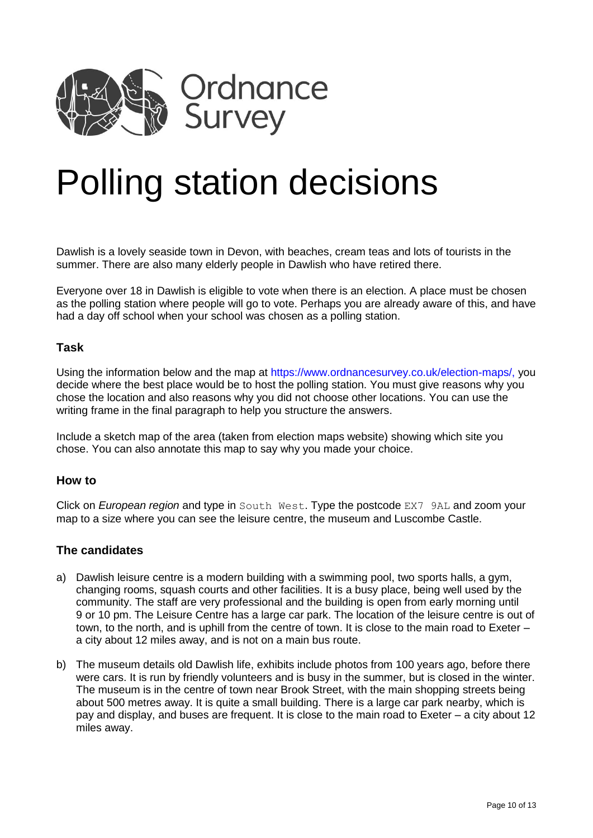

# Polling station decisions

Dawlish is a lovely seaside town in Devon, with beaches, cream teas and lots of tourists in the summer. There are also many elderly people in Dawlish who have retired there.

Everyone over 18 in Dawlish is eligible to vote when there is an election. A place must be chosen as the polling station where people will go to vote. Perhaps you are already aware of this, and have had a day off school when your school was chosen as a polling station.

### **Task**

Using the information below and the map at [https://www.ordnancesurvey.co.uk/election-maps/,](https://www.ordnancesurvey.co.uk/election-maps/) you decide where the best place would be to host the polling station. You must give reasons why you chose the location and also reasons why you did not choose other locations. You can use the writing frame in the final paragraph to help you structure the answers.

Include a sketch map of the area (taken from election maps website) showing which site you chose. You can also annotate this map to say why you made your choice.

#### **How to**

Click on *European region* and type in South West. Type the postcode EX7 9AL and zoom your map to a size where you can see the leisure centre, the museum and Luscombe Castle.

### **The candidates**

- a) Dawlish leisure centre is a modern building with a swimming pool, two sports halls, a gym, changing rooms, squash courts and other facilities. It is a busy place, being well used by the community. The staff are very professional and the building is open from early morning until 9 or 10 pm. The Leisure Centre has a large car park. The location of the leisure centre is out of town, to the north, and is uphill from the centre of town. It is close to the main road to Exeter – a city about 12 miles away, and is not on a main bus route.
- b) The museum details old Dawlish life, exhibits include photos from 100 years ago, before there were cars. It is run by friendly volunteers and is busy in the summer, but is closed in the winter. The museum is in the centre of town near Brook Street, with the main shopping streets being about 500 metres away. It is quite a small building. There is a large car park nearby, which is pay and display, and buses are frequent. It is close to the main road to Exeter – a city about 12 miles away.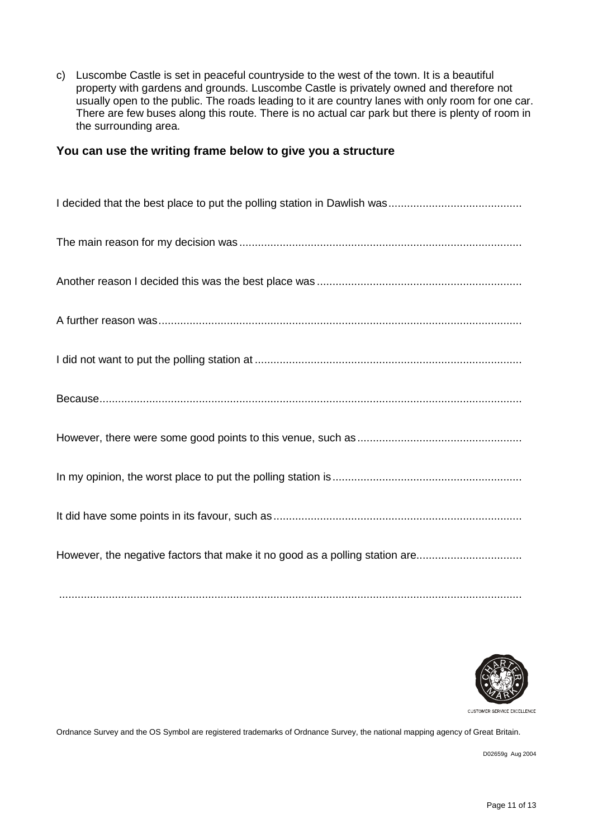c) Luscombe Castle is set in peaceful countryside to the west of the town. It is a beautiful property with gardens and grounds. Luscombe Castle is privately owned and therefore not usually open to the public. The roads leading to it are country lanes with only room for one car. There are few buses along this route. There is no actual car park but there is plenty of room in the surrounding area.

## **You can use the writing frame below to give you a structure**

| However, the negative factors that make it no good as a polling station are |
|-----------------------------------------------------------------------------|



CUSTOMER SERVICE EXCELLENCE

Ordnance Survey and the OS Symbol are registered trademarks of Ordnance Survey, the national mapping agency of Great Britain.

.....................................................................................................................................................

D02659g Aug 2004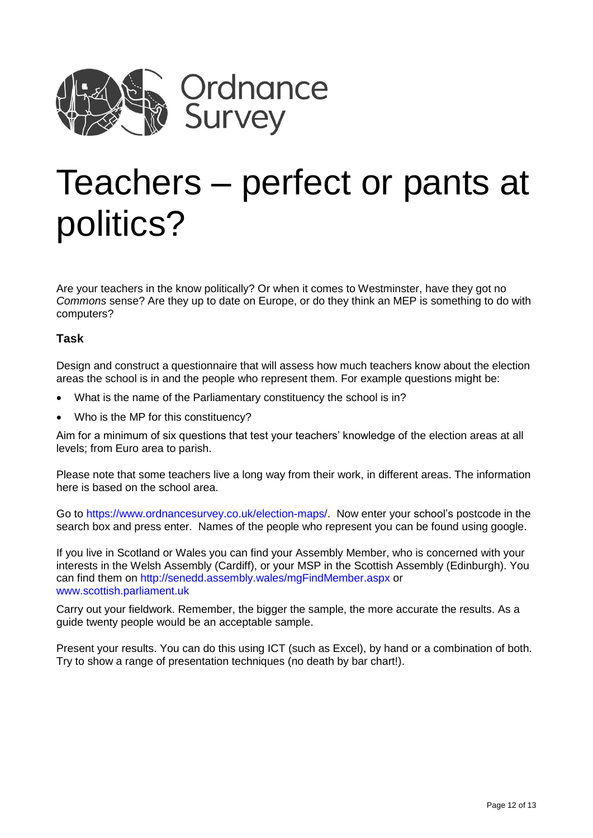

# Teachers – perfect or pants at politics?

Are your teachers in the know politically? Or when it comes to Westminster, have they got no *Commons* sense? Are they up to date on Europe, or do they think an MEP is something to do with computers?

# **Task**

Design and construct a questionnaire that will assess how much teachers know about the election areas the school is in and the people who represent them. For example questions might be:

- What is the name of the Parliamentary constituency the school is in?
- Who is the MP for this constituency?

Aim for a minimum of six questions that test your teachers' knowledge of the election areas at all levels; from Euro area to parish.

Please note that some teachers live a long way from their work, in different areas. The information here is based on the school area.

Go to [https://www.ordnancesurvey.co.uk/election-maps/.](https://www.ordnancesurvey.co.uk/election-maps/) Now enter your school's postcode in the search box and press enter. Names of the people who represent you can be found using google.

If you live in Scotland or Wales you can find your Assembly Member, who is concerned with your interests in the Welsh Assembly (Cardiff), or your MSP in the Scottish Assembly (Edinburgh). You can find them on<http://senedd.assembly.wales/mgFindMember.aspx> or [www.scottish.parliament.uk](http://www.scottish.parliament.uk/)

Carry out your fieldwork. Remember, the bigger the sample, the more accurate the results. As a guide twenty people would be an acceptable sample.

Present your results. You can do this using ICT (such as Excel), by hand or a combination of both. Try to show a range of presentation techniques (no death by bar chart!).